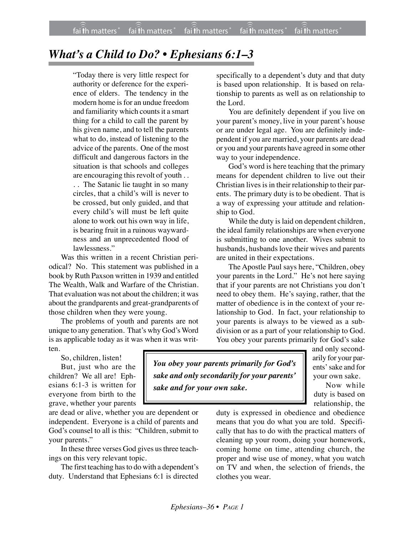## *What's a Child to Do? • Ephesians 6:1–3*

"Today there is very little respect for authority or deference for the experience of elders. The tendency in the modern home is for an undue freedom and familiarity which counts it a smart thing for a child to call the parent by his given name, and to tell the parents what to do, instead of listening to the advice of the parents. One of the most difficult and dangerous factors in the situation is that schools and colleges are encouraging this revolt of youth . . . . The Satanic lie taught in so many circles, that a child's will is never to be crossed, but only guided, and that every child's will must be left quite alone to work out his own way in life, is bearing fruit in a ruinous waywardness and an unprecedented flood of lawlessness."

Was this written in a recent Christian periodical? No. This statement was published in a book by Ruth Paxson written in 1939 and entitled The Wealth, Walk and Warfare of the Christian. That evaluation was not about the children; it was about the grandparents and great-grandparents of those children when they were young.

The problems of youth and parents are not unique to any generation. That's why God's Word is as applicable today as it was when it was written.

So, children, listen! But, just who are the children? We all are! Ephesians 6:1-3 is written for everyone from birth to the grave, whether your parents

are dead or alive, whether you are dependent or independent. Everyone is a child of parents and God's counsel to all is this: "Children, submit to your parents."

In these three verses God gives us three teachings on this very relevant topic.

The first teaching has to do with a dependent's duty. Understand that Ephesians 6:1 is directed

specifically to a dependent's duty and that duty is based upon relationship. It is based on relationship to parents as well as on relationship to the Lord.

You are definitely dependent if you live on your parent's money, live in your parent's house or are under legal age. You are definitely independent if you are married, your parents are dead or you and your parents have agreed in some other way to your independence.

God's word is here teaching that the primary means for dependent children to live out their Christian lives is in their relationship to their parents. The primary duty is to be obedient. That is a way of expressing your attitude and relationship to God.

While the duty is laid on dependent children, the ideal family relationships are when everyone is submitting to one another. Wives submit to husbands, husbands love their wives and parents are united in their expectations.

The Apostle Paul says here, "Children, obey your parents in the Lord." He's not here saying that if your parents are not Christians you don't need to obey them. He's saying, rather, that the matter of obedience is in the context of your relationship to God. In fact, your relationship to your parents is always to be viewed as a subdivision or as a part of your relationship to God. You obey your parents primarily for God's sake

*You obey your parents primarily for God's sake and only secondarily for your parents' sake and for your own sake.*

and only secondarily for your parents' sake and for your own sake.

Now while duty is based on relationship, the

duty is expressed in obedience and obedience means that you do what you are told. Specifically that has to do with the practical matters of cleaning up your room, doing your homework, coming home on time, attending church, the proper and wise use of money, what you watch on TV and when, the selection of friends, the clothes you wear.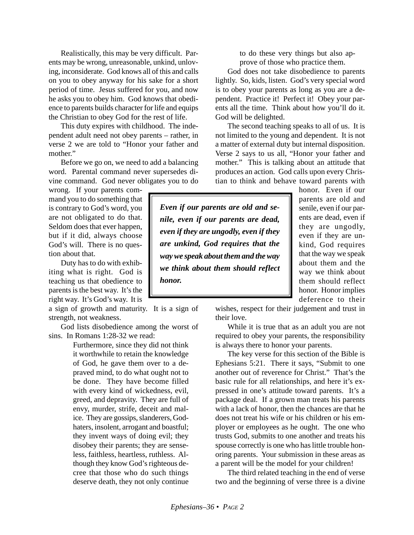Realistically, this may be very difficult. Parents may be wrong, unreasonable, unkind, unloving, inconsiderate. God knows all of this and calls on you to obey anyway for his sake for a short period of time. Jesus suffered for you, and now he asks you to obey him. God knows that obedience to parents builds character for life and equips the Christian to obey God for the rest of life.

This duty expires with childhood. The independent adult need not obey parents – rather, in verse 2 we are told to "Honor your father and mother."

Before we go on, we need to add a balancing word. Parental command never supersedes divine command. God never obligates you to do

wrong. If your parents command you to do something that is contrary to God's word, you are not obligated to do that. Seldom does that ever happen, but if it did, always choose God's will. There is no question about that.

Duty has to do with exhibiting what is right. God is teaching us that obedience to parents is the best way. It's the right way. It's God's way. It is

a sign of growth and maturity. It is a sign of strength, not weakness.

God lists disobedience among the worst of sins. In Romans 1:28-32 we read:

Furthermore, since they did not think it worthwhile to retain the knowledge of God, he gave them over to a depraved mind, to do what ought not to be done. They have become filled with every kind of wickedness, evil, greed, and depravity. They are full of envy, murder, strife, deceit and malice. They are gossips, slanderers, Godhaters, insolent, arrogant and boastful; they invent ways of doing evil; they disobey their parents; they are senseless, faithless, heartless, ruthless. Although they know God's righteous decree that those who do such things deserve death, they not only continue

to do these very things but also approve of those who practice them.

God does not take disobedience to parents lightly. So, kids, listen. God's very special word is to obey your parents as long as you are a dependent. Practice it! Perfect it! Obey your parents all the time. Think about how you'll do it. God will be delighted.

The second teaching speaks to all of us. It is not limited to the young and dependent. It is not a matter of external duty but internal disposition. Verse 2 says to us all, "Honor your father and mother." This is talking about an attitude that produces an action. God calls upon every Christian to think and behave toward parents with

*Even if our parents are old and senile, even if our parents are dead, even if they are ungodly, even if they are unkind, God requires that the way we speak about them and the way we think about them should reflect honor.*

honor. Even if our parents are old and senile, even if our parents are dead, even if they are ungodly, even if they are unkind, God requires that the way we speak about them and the way we think about them should reflect honor. Honor implies deference to their

wishes, respect for their judgement and trust in their love.

While it is true that as an adult you are not required to obey your parents, the responsibility is always there to honor your parents.

The key verse for this section of the Bible is Ephesians 5:21. There it says, "Submit to one another out of reverence for Christ." That's the basic rule for all relationships, and here it's expressed in one's attitude toward parents. It's a package deal. If a grown man treats his parents with a lack of honor, then the chances are that he does not treat his wife or his children or his employer or employees as he ought. The one who trusts God, submits to one another and treats his spouse correctly is one who has little trouble honoring parents. Your submission in these areas as a parent will be the model for your children!

The third related teaching in the end of verse two and the beginning of verse three is a divine